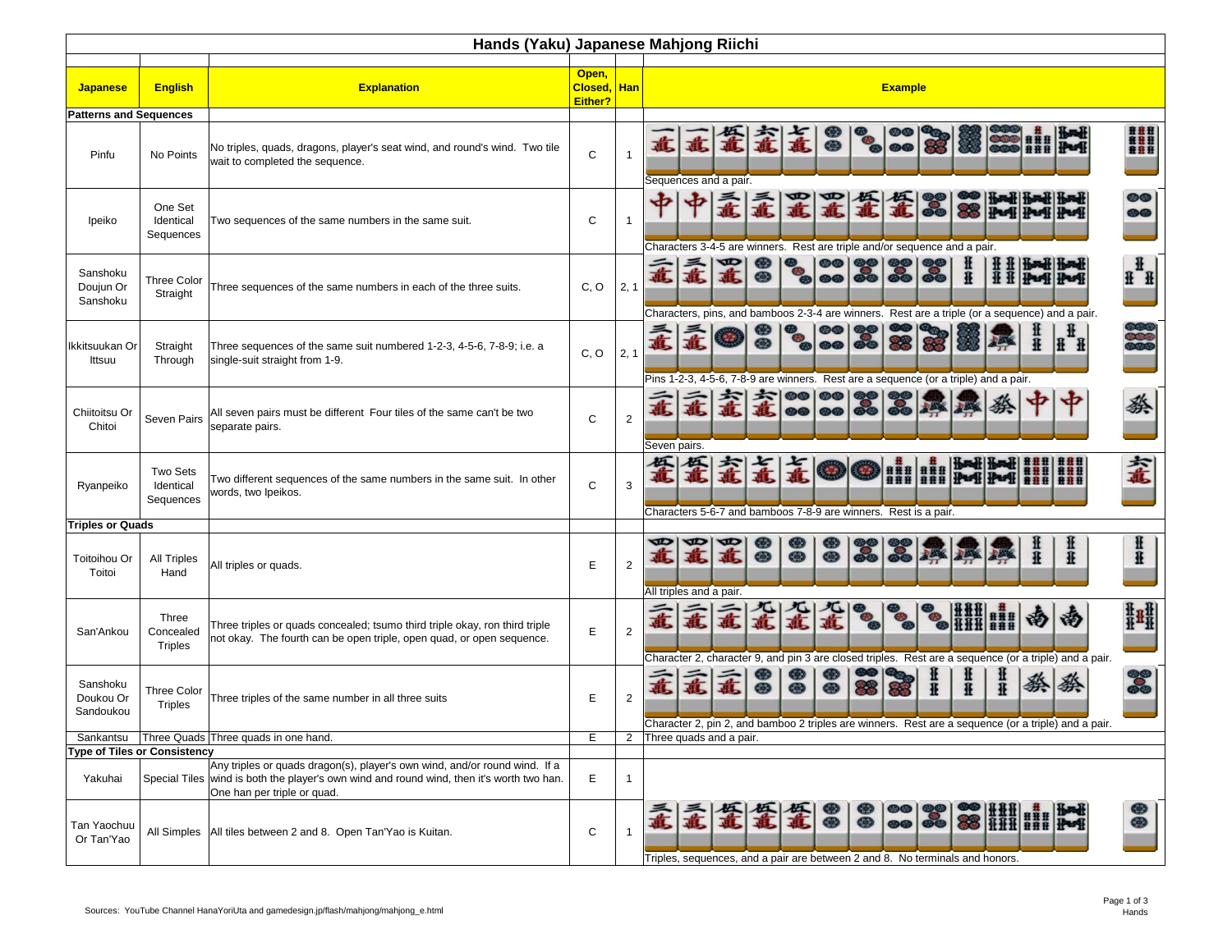|                                    | Hands (Yaku) Japanese Mahjong Riichi |                                                                                                                                                                                                        |              |                |                                                                                                                                                                                                                                                                                                                                                                                                                                                        |  |  |  |  |  |  |  |  |
|------------------------------------|--------------------------------------|--------------------------------------------------------------------------------------------------------------------------------------------------------------------------------------------------------|--------------|----------------|--------------------------------------------------------------------------------------------------------------------------------------------------------------------------------------------------------------------------------------------------------------------------------------------------------------------------------------------------------------------------------------------------------------------------------------------------------|--|--|--|--|--|--|--|--|
| <b>Japanese</b>                    | <b>English</b>                       | Open,<br><b>Explanation</b><br>Closed, Han<br><b>Example</b><br>Either?                                                                                                                                |              |                |                                                                                                                                                                                                                                                                                                                                                                                                                                                        |  |  |  |  |  |  |  |  |
| <b>Patterns and Sequences</b>      |                                      |                                                                                                                                                                                                        |              |                |                                                                                                                                                                                                                                                                                                                                                                                                                                                        |  |  |  |  |  |  |  |  |
| Pinfu                              | No Points                            | No triples, quads, dragons, player's seat wind, and round's wind. Two tile<br>wait to completed the sequence.                                                                                          | $\mathsf{C}$ | $\overline{1}$ | <b>###</b><br>####<br>####<br>⊛<br>$\circledcirc$<br>Sequences and a pair.                                                                                                                                                                                                                                                                                                                                                                             |  |  |  |  |  |  |  |  |
| Ipeiko                             | One Set<br>Identical<br>Sequences    | Two sequences of the same numbers in the same suit.                                                                                                                                                    | C            | $\overline{1}$ | <b>OO</b><br>Head! Head! Head<br>ௐௐ<br>Characters 3-4-5 are winners. Rest are triple and/or sequence and a pair.                                                                                                                                                                                                                                                                                                                                       |  |  |  |  |  |  |  |  |
| Sanshoku<br>Doujun Or<br>Sanshoku  | <b>Three Color</b><br>Straight       | Three sequences of the same numbers in each of the three suits.                                                                                                                                        | C, O         | 2, 1           | $\mathbf{H}$<br>意<br>直<br>®<br>£<br>$H$ $H$<br><b>HH</b><br><b>40</b><br>$\mathbf{H}$<br>Characters, pins, and bamboos 2-3-4 are winners. Rest are a triple (or a sequence) and a pair.                                                                                                                                                                                                                                                                |  |  |  |  |  |  |  |  |
| Ikkitsuukan Or<br>Ittsuu           | Straight<br>Through                  | Three sequences of the same suit numbered 1-2-3, 4-5-6, 7-8-9; i.e. a<br>single-suit straight from 1-9.                                                                                                | C, O         | 2, 1           | <b>H</b><br>Pins 1-2-3, 4-5-6, 7-8-9 are winners. Rest are a sequence (or a triple) and a pair.                                                                                                                                                                                                                                                                                                                                                        |  |  |  |  |  |  |  |  |
| Chiitoitsu Or<br>Chitoi            | Seven Pairs                          | All seven pairs must be different Four tiles of the same can't be two<br>separate pairs.                                                                                                               | C            | $\overline{2}$ | @@<br>$\circledcirc$<br>燊<br>祭<br>$\circledcirc$<br><b>@@</b><br>$\bullet$<br>Seven pairs.                                                                                                                                                                                                                                                                                                                                                             |  |  |  |  |  |  |  |  |
| Ryanpeiko                          | Two Sets<br>Identical<br>Sequences   | Two different sequences of the same numbers in the same suit. In other<br>words, two Ipeikos.                                                                                                          | C            | 3              | 羞<br>金<br>HHHHHHHHH<br>888 888<br>Characters 5-6-7 and bamboos 7-8-9 are winners. Rest is a pair.                                                                                                                                                                                                                                                                                                                                                      |  |  |  |  |  |  |  |  |
| <b>Triples or Quads</b>            |                                      |                                                                                                                                                                                                        |              |                |                                                                                                                                                                                                                                                                                                                                                                                                                                                        |  |  |  |  |  |  |  |  |
| <b>Toitoihou Or</b><br>Toitoi      | <b>All Triples</b><br>Hand           | All triples or quads.                                                                                                                                                                                  | E            | $\overline{2}$ | Ħ<br>œ<br>œ<br>œ<br>开开<br>直<br>متصلة<br>$\circledcirc$<br>£<br>⊕<br>$\circledcirc$<br>£<br>All triples and a pair.                                                                                                                                                                                                                                                                                                                                     |  |  |  |  |  |  |  |  |
| San'Ankou                          | Three<br>Concealed<br><b>Triples</b> | Three triples or quads concealed; tsumo third triple okay, ron third triple<br>not okay. The fourth can be open triple, open quad, or open sequence.                                                   | E            | $\overline{2}$ | 鞋鞋<br>孟<br><b>HILLER</b><br>汤<br>汤<br>Character 2, character 9, and pin 3 are closed triples. Rest are a sequence (or a triple) and a pair.                                                                                                                                                                                                                                                                                                            |  |  |  |  |  |  |  |  |
| Sanshoku<br>Doukou Or<br>Sandoukou | Three Color<br><b>Triples</b>        | Three triples of the same number in all three suits                                                                                                                                                    | Е            | $\overline{2}$ | œ<br>do<br>Do<br>韭韭<br>韭<br>孟<br>祭祭<br>孟<br>$\mathbb{R}$<br>£<br>®<br>$\circledcirc$<br>$\circ$<br>Character 2, pin 2, and bamboo 2 triples are winners. Rest are a sequence (or a triple) and a pair.                                                                                                                                                                                                                                                 |  |  |  |  |  |  |  |  |
|                                    |                                      | Sankantsu   Three Quads   Three quads in one hand.                                                                                                                                                     | Е            |                | 2 Three quads and a pair.                                                                                                                                                                                                                                                                                                                                                                                                                              |  |  |  |  |  |  |  |  |
|                                    | <b>Type of Tiles or Consistency</b>  |                                                                                                                                                                                                        |              |                |                                                                                                                                                                                                                                                                                                                                                                                                                                                        |  |  |  |  |  |  |  |  |
| Yakuhai                            |                                      | Any triples or quads dragon(s), player's own wind, and/or round wind. If a<br>Special Tiles wind is both the player's own wind and round wind, then it's worth two han.<br>One han per triple or quad. | Е            | $\mathbf{1}$   |                                                                                                                                                                                                                                                                                                                                                                                                                                                        |  |  |  |  |  |  |  |  |
| Tan Yaochuu<br>Or Tan'Yao          |                                      | All Simples   All tiles between 2 and 8. Open Tan'Yao is Kuitan.                                                                                                                                       | C            | $\mathbf{1}$   | $\begin{tabular}{ c c c c c } \hline $\circ$ & $\circ$ & $\circ$ & $\circ$ & $\bullet$ & $\bullet$ & $\bullet$ \\ \hline $\circ$ & $\circ$ & $\circ$ & $\circ$ & $\circ$ & $\bullet$ & $\bullet$ & $\bullet$ \\ \hline $\circ$ & $\circ$ & $\circ$ & $\circ$ & $\circ$ & $\bullet$ & $\bullet$ & $\bullet$ \\ \hline \end{tabular}$<br>⊕<br>霉<br>霉<br>8<br>孟<br>金<br>◉<br>Triples, sequences, and a pair are between 2 and 8. No terminals and honors. |  |  |  |  |  |  |  |  |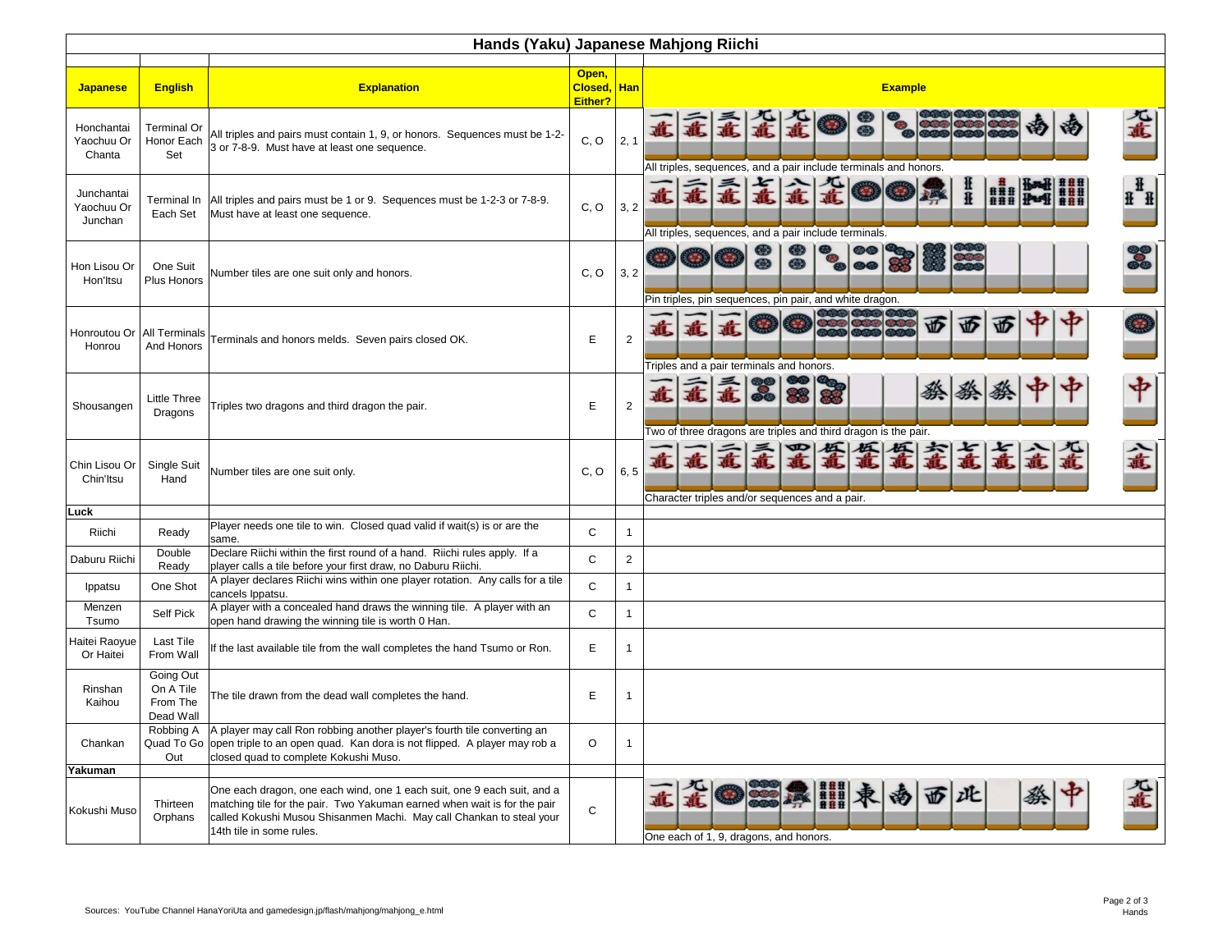|                                     | Hands (Yaku) Japanese Mahjong Riichi            |                                                                                                                                                                                                                                                         |                             |                |                                                                                                           |  |  |  |  |  |  |  |  |
|-------------------------------------|-------------------------------------------------|---------------------------------------------------------------------------------------------------------------------------------------------------------------------------------------------------------------------------------------------------------|-----------------------------|----------------|-----------------------------------------------------------------------------------------------------------|--|--|--|--|--|--|--|--|
| <b>Japanese</b>                     | <b>English</b>                                  | <b>Explanation</b>                                                                                                                                                                                                                                      | Open,<br>Closed,<br>Either? | <b>Han</b>     | <b>Example</b>                                                                                            |  |  |  |  |  |  |  |  |
| Honchantai<br>Yaochuu Or<br>Chanta  | <b>Terminal Or</b><br>Honor Each<br>Set         | All triples and pairs must contain 1, 9, or honors. Sequences must be 1-2-<br>3 or 7-8-9. Must have at least one sequence.                                                                                                                              | C, O                        | 2, 1           | 兀<br>孟<br>孟<br>绐<br>章<br>All triples, sequences, and a pair include terminals and honors.                 |  |  |  |  |  |  |  |  |
| Junchantai<br>Yaochuu Or<br>Junchan | Each Set                                        | Terminal In All triples and pairs must be 1 or 9. Sequences must be 1-2-3 or 7-8-9.<br>Must have at least one sequence.                                                                                                                                 | C, O                        | 3, 2           | $\mathbf{H}$<br>开开<br>###<br>$\mathbf{H}^{\ast}$<br>All triples, sequences, and a pair include terminals. |  |  |  |  |  |  |  |  |
| Hon Lisou Or<br>Hon'Itsu            | One Suit<br>Plus Honors                         | Number tiles are one suit only and honors.                                                                                                                                                                                                              | C, O                        | 3, 2           | ⊕<br><b>@@</b><br>Pin triples, pin sequences, pin pair, and white dragon.                                 |  |  |  |  |  |  |  |  |
| Honroutou Or<br>Honrou              | All Terminals<br>And Honors                     | Terminals and honors melds. Seven pairs closed OK.                                                                                                                                                                                                      | E                           | $\overline{2}$ | 西<br>WD.<br>۲íD<br>Triples and a pair terminals and honors.                                               |  |  |  |  |  |  |  |  |
| Shousangen                          | Little Three<br>Dragons                         | Triples two dragons and third dragon the pair.                                                                                                                                                                                                          | Ε                           | $\overline{2}$ | 中<br>孟<br>孟<br>祭<br>直<br>-35<br>Two of three dragons are triples and third dragon is the pair.            |  |  |  |  |  |  |  |  |
| Chin Lisou Or<br>Chin'ltsu          | Single Suit<br>Hand                             | Number tiles are one suit only.                                                                                                                                                                                                                         | C, O                        | 6, 5           | ■量量<br>孟<br>孟<br>直<br>Character triples and/or sequences and a pair.                                      |  |  |  |  |  |  |  |  |
| Luck                                |                                                 |                                                                                                                                                                                                                                                         |                             |                |                                                                                                           |  |  |  |  |  |  |  |  |
| Riichi                              | Ready                                           | Player needs one tile to win. Closed quad valid if wait(s) is or are the<br>same.                                                                                                                                                                       | $\mathsf{C}$                | $\mathbf{1}$   |                                                                                                           |  |  |  |  |  |  |  |  |
| Daburu Riichi                       | Double<br>Ready                                 | Declare Riichi within the first round of a hand. Riichi rules apply. If a<br>player calls a tile before your first draw, no Daburu Riichi.                                                                                                              | C                           | $\mathbf 2$    |                                                                                                           |  |  |  |  |  |  |  |  |
| Ippatsu                             | One Shot                                        | A player declares Riichi wins within one player rotation. Any calls for a tile<br>cancels Ippatsu.                                                                                                                                                      | $\mathsf{C}$                | $\mathbf{1}$   |                                                                                                           |  |  |  |  |  |  |  |  |
| Menzen<br>Tsumo                     | Self Pick                                       | A player with a concealed hand draws the winning tile. A player with an<br>open hand drawing the winning tile is worth 0 Han.                                                                                                                           | $\mathsf{C}$                | $\mathbf{1}$   |                                                                                                           |  |  |  |  |  |  |  |  |
| Haitei Raoyue<br>Or Haitei          | <b>Last Tile</b><br>From Wall                   | If the last available tile from the wall completes the hand Tsumo or Ron.                                                                                                                                                                               | E                           | $\mathbf{1}$   |                                                                                                           |  |  |  |  |  |  |  |  |
| Rinshan<br>Kaihou                   | Going Out<br>On A Tile<br>From The<br>Dead Wall | The tile drawn from the dead wall completes the hand.                                                                                                                                                                                                   | E                           | $\mathbf{1}$   |                                                                                                           |  |  |  |  |  |  |  |  |
| Chankan                             | Robbing A<br>Out                                | A player may call Ron robbing another player's fourth tile converting an<br>Quad To Go open triple to an open quad. Kan dora is not flipped. A player may rob a<br>closed quad to complete Kokushi Muso.                                                | O                           | $\mathbf{1}$   |                                                                                                           |  |  |  |  |  |  |  |  |
| Yakuman                             |                                                 |                                                                                                                                                                                                                                                         |                             |                |                                                                                                           |  |  |  |  |  |  |  |  |
| Kokushi Muso                        | Thirteen<br>Orphans                             | One each dragon, one each wind, one 1 each suit, one 9 each suit, and a<br>matching tile for the pair. Two Yakuman earned when wait is for the pair<br>called Kokushi Musou Shisanmen Machi. May call Chankan to steal your<br>14th tile in some rules. | $\mathsf C$                 |                | 心<br>西<br>zŒ<br>One each of 1, 9, dragons, and honors.                                                    |  |  |  |  |  |  |  |  |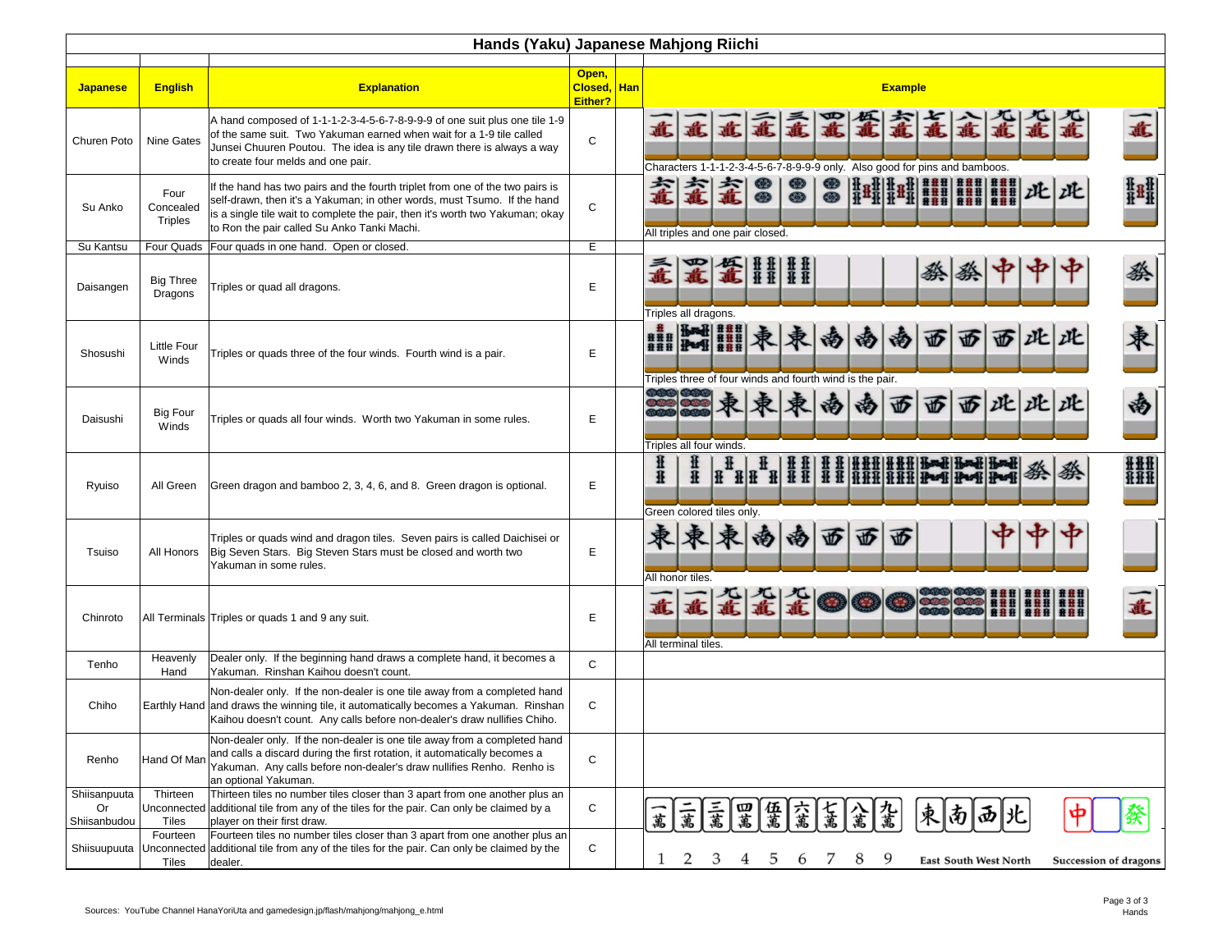|                                    | Hands (Yaku) Japanese Mahjong Riichi |                                                                                                                                                                                                                                                                                           |                                 |  |                                                                                                                                                                                               |  |  |  |  |  |  |  |  |
|------------------------------------|--------------------------------------|-------------------------------------------------------------------------------------------------------------------------------------------------------------------------------------------------------------------------------------------------------------------------------------------|---------------------------------|--|-----------------------------------------------------------------------------------------------------------------------------------------------------------------------------------------------|--|--|--|--|--|--|--|--|
| <b>Japanese</b>                    | <b>English</b>                       | <b>Explanation</b>                                                                                                                                                                                                                                                                        | Open,<br>Closed, Han<br>Either? |  | <b>Example</b>                                                                                                                                                                                |  |  |  |  |  |  |  |  |
| Churen Poto                        | Nine Gates                           | A hand composed of 1-1-1-2-3-4-5-6-7-8-9-9-9 of one suit plus one tile 1-9<br>of the same suit. Two Yakuman earned when wait for a 1-9 tile called<br>Junsei Chuuren Poutou. The idea is any tile drawn there is always a way<br>to create four melds and one pair.                       | C                               |  | 孟<br>孟<br>鼋<br>意<br>意<br>意<br>意<br>直<br>蟊<br>意<br>直<br>Characters 1-1-1-2-3-4-5-6-7-8-9-9-9 only. Also good for pins and bamboos.                                                             |  |  |  |  |  |  |  |  |
| Su Anko                            | Four<br>Concealed<br><b>Triples</b>  | If the hand has two pairs and the fourth triplet from one of the two pairs is<br>self-drawn, then it's a Yakuman; in other words, must Tsumo. If the hand<br>is a single tile wait to complete the pair, then it's worth two Yakuman; okay<br>to Ron the pair called Su Anko Tanki Machi. | C                               |  | 甜菜<br>⊛<br>⊕<br>鼋<br>⊛<br>鼋<br>此此<br>$\circledcirc$<br>$\bullet$<br>$\circledcirc$<br>All triples and one pair closed.                                                                        |  |  |  |  |  |  |  |  |
| Su Kantsu                          |                                      | Four Quads   Four quads in one hand. Open or closed.                                                                                                                                                                                                                                      | E.                              |  |                                                                                                                                                                                               |  |  |  |  |  |  |  |  |
| Daisangen                          | Big Three<br>Dragons                 | Triples or quad all dragons.                                                                                                                                                                                                                                                              | E                               |  | 竃<br>芸芸<br>蔡<br>$ \frac{1}{4} \frac{1}{4}$<br>祭<br>意<br>祭<br>Triples all dragons.                                                                                                             |  |  |  |  |  |  |  |  |
| Shosushi                           | Little Four<br>Winds                 | Triples or quads three of the four winds. Fourth wind is a pair.                                                                                                                                                                                                                          | E                               |  | <b>Hotel BRB</b><br>柬<br>此此<br>迈<br>迈<br>W)<br><b>HHI PARTIE</b><br>阉<br>汤<br>汤<br>Triples three of four winds and fourth wind is the pair.                                                   |  |  |  |  |  |  |  |  |
| Daisushi                           | <b>Big Four</b><br>Winds             | Triples or quads all four winds. Worth two Yakuman in some rules.                                                                                                                                                                                                                         | Е                               |  | 南<br>此此此<br>西<br>西<br>西<br>南<br>汤<br>Triples all four winds.                                                                                                                                  |  |  |  |  |  |  |  |  |
| Ryuiso                             | All Green                            | Green dragon and bamboo 2, 3, 4, 6, and 8. Green dragon is optional.                                                                                                                                                                                                                      | E                               |  | H   H   H   H   H H   H H   H H H   H M   H M   H M   H M   H<br>H   H   H   H   H H   H H   H H   H H   H M   H M   H M   H<br><b>HHH</b><br>韭<br>祭<br>£<br>HHH<br>Green colored tiles only. |  |  |  |  |  |  |  |  |
| Tsuiso                             |                                      | Triples or quads wind and dragon tiles. Seven pairs is called Daichisei or<br>All Honors   Big Seven Stars. Big Steven Stars must be closed and worth two<br>Yakuman in some rules.                                                                                                       | Ε                               |  | 亚<br>W<br>W<br>汤<br>汤<br>All honor tiles.                                                                                                                                                     |  |  |  |  |  |  |  |  |
| Chinroto                           |                                      | All Terminals Triples or quads 1 and 9 any suit.                                                                                                                                                                                                                                          | E                               |  | 重直直直 1<br>意<br>直<br>0000 0000 0000<br>0000 0000 000<br>All terminal tiles.                                                                                                                    |  |  |  |  |  |  |  |  |
| Tenho                              | Heavenly<br>Hand                     | Dealer only. If the beginning hand draws a complete hand, it becomes a<br>Yakuman. Rinshan Kaihou doesn't count.                                                                                                                                                                          | C                               |  |                                                                                                                                                                                               |  |  |  |  |  |  |  |  |
| Chiho                              |                                      | Non-dealer only. If the non-dealer is one tile away from a completed hand<br>Earthly Hand and draws the winning tile, it automatically becomes a Yakuman. Rinshan<br>Kaihou doesn't count. Any calls before non-dealer's draw nullifies Chiho.                                            | C                               |  |                                                                                                                                                                                               |  |  |  |  |  |  |  |  |
| Renho                              | Hand Of Man                          | Non-dealer only. If the non-dealer is one tile away from a completed hand<br>and calls a discard during the first rotation, it automatically becomes a<br>Yakuman. Any calls before non-dealer's draw nullifies Renho. Renho is<br>an optional Yakuman.                                   | C                               |  |                                                                                                                                                                                               |  |  |  |  |  |  |  |  |
| Shiisanpuuta<br>Or<br>Shiisanbudou | Thirteen<br>Tiles                    | Thirteen tiles no number tiles closer than 3 apart from one another plus an<br>Unconnected additional tile from any of the tiles for the pair. Can only be claimed by a<br>player on their first draw.                                                                                    | C                               |  | 三萬<br>三萬<br>六萬<br>七 萬<br> 九巂<br>四萬<br>  伍 <br>束<br>南 西 兆<br>$\boldsymbol{\phi}$<br>粲<br>一萬                                                                                                    |  |  |  |  |  |  |  |  |
| Shiisuupuuta                       | Fourteen<br>Tiles                    | Fourteen tiles no number tiles closer than 3 apart from one another plus an<br>Unconnected additional tile from any of the tiles for the pair. Can only be claimed by the<br>dealer.                                                                                                      | C                               |  | 2<br>3<br>5<br>8<br>1<br>9<br>4<br>6<br>East South West North<br>Succession of dragons                                                                                                        |  |  |  |  |  |  |  |  |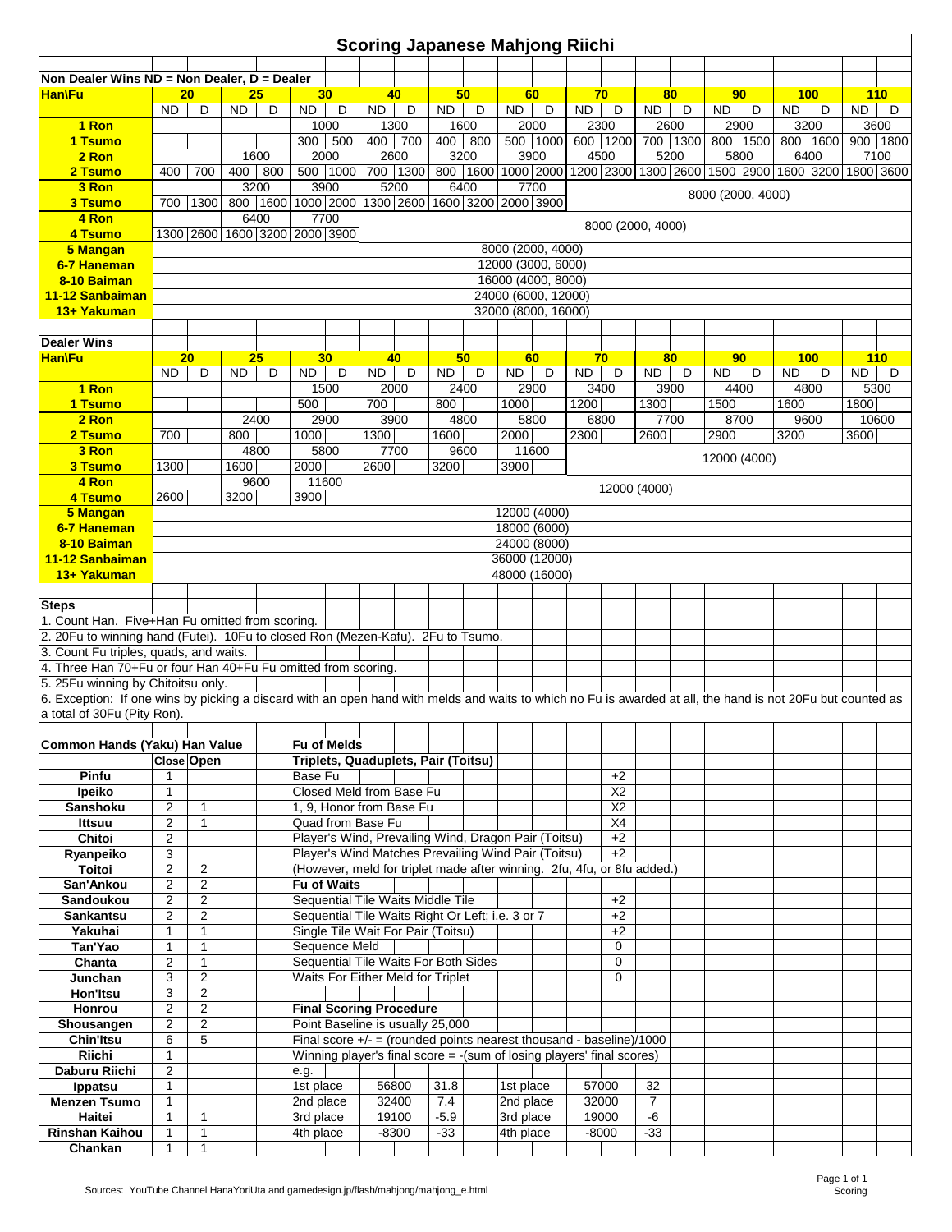| <b>Scoring Japanese Mahjong Riichi</b>                                                                                                                                                            |                                         |                                  |           |                               |                        |                    |                   |                                |                                                                           |             |                        |                               |                                                                                                                                                 |                  |                      |                  |                   |                  |           |                  |           |                  |
|---------------------------------------------------------------------------------------------------------------------------------------------------------------------------------------------------|-----------------------------------------|----------------------------------|-----------|-------------------------------|------------------------|--------------------|-------------------|--------------------------------|---------------------------------------------------------------------------|-------------|------------------------|-------------------------------|-------------------------------------------------------------------------------------------------------------------------------------------------|------------------|----------------------|------------------|-------------------|------------------|-----------|------------------|-----------|------------------|
| Non Dealer Wins ND = Non Dealer, D = Dealer                                                                                                                                                       |                                         |                                  |           |                               |                        |                    |                   |                                |                                                                           |             |                        |                               |                                                                                                                                                 |                  |                      |                  |                   |                  |           |                  |           |                  |
| <b>Han\Fu</b>                                                                                                                                                                                     |                                         | 20 <sub>2</sub>                  |           | 25                            |                        | 30                 |                   | 40                             |                                                                           | 50          |                        | 60                            |                                                                                                                                                 | 70               |                      | 80               |                   | 90               |           | 100 <sub>1</sub> |           | 110              |
|                                                                                                                                                                                                   | <b>ND</b>                               | D                                | <b>ND</b> | D                             | <b>ND</b>              | D                  | <b>ND</b>         | D                              | ND.                                                                       | D           | <b>ND</b>              | D                             | <b>ND</b>                                                                                                                                       | D                | <b>ND</b>            | D                | <b>ND</b>         | D                | ND.       | D                | <b>ND</b> | D                |
| 1 Ron<br>1 Tsumo                                                                                                                                                                                  |                                         |                                  |           |                               | 300                    | 1000<br>500        | 400               | 1300<br>700                    | 400                                                                       | 1600<br>800 |                        | 2000<br>500 1000              |                                                                                                                                                 | 2300<br>600 1200 |                      | 2600<br>700 1300 |                   | 2900<br>800 1500 |           | 3200<br>800 1600 |           | 3600<br>900 1800 |
| 2 Ron                                                                                                                                                                                             |                                         |                                  |           | 1600                          |                        | 2000               |                   | 2600                           |                                                                           | 3200        |                        | 3900                          |                                                                                                                                                 | 4500             |                      | 5200             |                   | 5800             |           | 6400             |           | 7100             |
| 2 Tsumo                                                                                                                                                                                           | 400                                     | 700                              |           | 400 800                       | 500                    | 1000               |                   | 700 1300                       |                                                                           |             |                        |                               | 800   1600   1000   2000   1200   2300   1300   2600   1500   2900   1600   3200   1800   3600                                                  |                  |                      |                  |                   |                  |           |                  |           |                  |
| 3 Ron                                                                                                                                                                                             |                                         |                                  |           | 3200                          |                        | 3900               |                   | 5200                           |                                                                           | 6400        |                        | 7700                          |                                                                                                                                                 |                  |                      |                  | 8000 (2000, 4000) |                  |           |                  |           |                  |
| 3 Tsumo<br>4 Ron                                                                                                                                                                                  | 700                                     | 1300                             | 800       | 6400                          |                        | 7700               |                   |                                | 1600   1000   2000   1300   2600   1600   3200   2000   3900              |             |                        |                               |                                                                                                                                                 |                  |                      |                  |                   |                  |           |                  |           |                  |
| 4 Tsumo                                                                                                                                                                                           |                                         |                                  |           | 1300 2600 1600 3200 2000 3900 |                        |                    |                   |                                |                                                                           |             |                        |                               |                                                                                                                                                 |                  | 8000 (2000, 4000)    |                  |                   |                  |           |                  |           |                  |
| 5 Mangan                                                                                                                                                                                          | 8000 (2000, 4000)<br>12000 (3000, 6000) |                                  |           |                               |                        |                    |                   |                                |                                                                           |             |                        |                               |                                                                                                                                                 |                  |                      |                  |                   |                  |           |                  |           |                  |
| 6-7 Haneman<br>8-10 Baiman                                                                                                                                                                        |                                         |                                  |           |                               |                        |                    |                   |                                |                                                                           |             |                        | 16000 (4000, 8000)            |                                                                                                                                                 |                  |                      |                  |                   |                  |           |                  |           |                  |
| 11-12 Sanbaiman                                                                                                                                                                                   |                                         |                                  |           |                               |                        |                    |                   |                                |                                                                           |             |                        | 24000 (6000, 12000)           |                                                                                                                                                 |                  |                      |                  |                   |                  |           |                  |           |                  |
| 13+ Yakuman                                                                                                                                                                                       |                                         |                                  |           |                               |                        |                    |                   |                                |                                                                           |             |                        | 32000 (8000, 16000)           |                                                                                                                                                 |                  |                      |                  |                   |                  |           |                  |           |                  |
|                                                                                                                                                                                                   |                                         |                                  |           |                               |                        |                    |                   |                                |                                                                           |             |                        |                               |                                                                                                                                                 |                  |                      |                  |                   |                  |           |                  |           |                  |
| <b>Dealer Wins</b><br><b>Han\Fu</b>                                                                                                                                                               |                                         | 20                               |           | 25                            |                        | 30 <sub>2</sub>    |                   | 40                             |                                                                           | 50          |                        | 60                            |                                                                                                                                                 | 70               |                      | 80               |                   | 90               |           | 100              |           | <b>110</b>       |
|                                                                                                                                                                                                   | <b>ND</b>                               | D                                | ND.       | D                             | ND.                    | D                  | ND.               | D                              | ND.                                                                       | D           | ND.                    | D                             | ND                                                                                                                                              | D                | <b>ND</b>            | D                | <b>ND</b>         | D                | <b>ND</b> | D                | ND.       | D                |
| 1 Ron                                                                                                                                                                                             |                                         |                                  |           |                               |                        | 1500               |                   | 2000                           |                                                                           | 2400        |                        | 2900                          |                                                                                                                                                 | 3400             |                      | 3900             |                   | 4400             |           | 4800             |           | 5300             |
| 1 Tsumo<br>2 Ron                                                                                                                                                                                  |                                         |                                  |           | 2400                          | 500                    | 2900               | 700               | 3900                           | 800                                                                       | 4800        | 1000                   | 5800                          | 1200                                                                                                                                            | 6800             | 1300                 | 7700             | 1500              | 8700             | 1600      | 9600             | 1800      | 10600            |
| 2 Tsumo                                                                                                                                                                                           | 700                                     |                                  | 800       |                               | 1000                   |                    | 1300              |                                | 1600                                                                      |             | 2000                   |                               | 2300                                                                                                                                            |                  | 2600                 |                  | 2900              |                  | 3200      |                  | 3600      |                  |
| 3 Ron                                                                                                                                                                                             |                                         |                                  |           | 4800                          |                        | 5800               |                   | 7700                           |                                                                           | 9600        |                        | 11600                         |                                                                                                                                                 |                  |                      |                  | 12000 (4000)      |                  |           |                  |           |                  |
| 3 Tsumo                                                                                                                                                                                           | 1300                                    |                                  | 1600      |                               | 2000                   |                    | 2600              |                                | 3200                                                                      |             | 3900                   |                               |                                                                                                                                                 |                  |                      |                  |                   |                  |           |                  |           |                  |
| 4 Ron<br>4 Tsumo                                                                                                                                                                                  | 2600                                    |                                  | 3200      | 9600                          | 3900                   | 11600              |                   |                                |                                                                           |             |                        |                               |                                                                                                                                                 |                  | 12000 (4000)         |                  |                   |                  |           |                  |           |                  |
| 5 Mangan                                                                                                                                                                                          |                                         |                                  |           |                               |                        |                    |                   |                                |                                                                           |             |                        | 12000 (4000)                  |                                                                                                                                                 |                  |                      |                  |                   |                  |           |                  |           |                  |
| 6-7 Haneman                                                                                                                                                                                       |                                         |                                  |           |                               |                        |                    |                   |                                |                                                                           |             |                        | 18000 (6000)                  |                                                                                                                                                 |                  |                      |                  |                   |                  |           |                  |           |                  |
| 8-10 Baiman<br>11-12 Sanbaiman                                                                                                                                                                    |                                         |                                  |           |                               |                        |                    |                   |                                |                                                                           |             |                        | 24000 (8000)<br>36000 (12000) |                                                                                                                                                 |                  |                      |                  |                   |                  |           |                  |           |                  |
| 13+ Yakuman                                                                                                                                                                                       |                                         |                                  |           |                               |                        |                    |                   |                                |                                                                           |             |                        | 48000 (16000)                 |                                                                                                                                                 |                  |                      |                  |                   |                  |           |                  |           |                  |
|                                                                                                                                                                                                   |                                         |                                  |           |                               |                        |                    |                   |                                |                                                                           |             |                        |                               |                                                                                                                                                 |                  |                      |                  |                   |                  |           |                  |           |                  |
| <b>Steps</b>                                                                                                                                                                                      |                                         |                                  |           |                               |                        |                    |                   |                                |                                                                           |             |                        |                               |                                                                                                                                                 |                  |                      |                  |                   |                  |           |                  |           |                  |
| 1. Count Han. Five+Han Fu omitted from scoring.<br>2. 20Fu to winning hand (Futei). 10Fu to closed Ron (Mezen-Kafu). 2Fu to Tsumo.                                                                |                                         |                                  |           |                               |                        |                    |                   |                                |                                                                           |             |                        |                               |                                                                                                                                                 |                  |                      |                  |                   |                  |           |                  |           |                  |
| 3. Count Fu triples, quads, and waits.                                                                                                                                                            |                                         |                                  |           |                               |                        |                    |                   |                                |                                                                           |             |                        |                               |                                                                                                                                                 |                  |                      |                  |                   |                  |           |                  |           |                  |
| 4. Three Han 70+Fu or four Han 40+Fu Fu omitted from scoring.                                                                                                                                     |                                         |                                  |           |                               |                        |                    |                   |                                |                                                                           |             |                        |                               |                                                                                                                                                 |                  |                      |                  |                   |                  |           |                  |           |                  |
| 5. 25Fu winning by Chitoitsu only.<br>6. Exception: If one wins by picking a discard with an open hand with melds and waits to which no Fu is awarded at all, the hand is not 20Fu but counted as |                                         |                                  |           |                               |                        |                    |                   |                                |                                                                           |             |                        |                               |                                                                                                                                                 |                  |                      |                  |                   |                  |           |                  |           |                  |
| a total of 30Fu (Pity Ron).                                                                                                                                                                       |                                         |                                  |           |                               |                        |                    |                   |                                |                                                                           |             |                        |                               |                                                                                                                                                 |                  |                      |                  |                   |                  |           |                  |           |                  |
|                                                                                                                                                                                                   |                                         |                                  |           |                               |                        |                    |                   |                                |                                                                           |             |                        |                               |                                                                                                                                                 |                  |                      |                  |                   |                  |           |                  |           |                  |
| Common Hands (Yaku) Han Value                                                                                                                                                                     |                                         | <b>Close Open</b>                |           |                               | Fu of Melds            |                    |                   |                                | Triplets, Quaduplets, Pair (Toitsu)                                       |             |                        |                               |                                                                                                                                                 |                  |                      |                  |                   |                  |           |                  |           |                  |
| Pinfu                                                                                                                                                                                             | 1                                       |                                  |           |                               | Base Fu                |                    |                   |                                |                                                                           |             |                        |                               |                                                                                                                                                 | $+2$             |                      |                  |                   |                  |           |                  |           |                  |
| Ipeiko                                                                                                                                                                                            | 1                                       |                                  |           |                               |                        |                    |                   | Closed Meld from Base Fu       |                                                                           |             |                        |                               |                                                                                                                                                 | X2               |                      |                  |                   |                  |           |                  |           |                  |
| <b>Sanshoku</b>                                                                                                                                                                                   | 2                                       | $\mathbf{1}$                     |           |                               |                        |                    |                   | 1, 9, Honor from Base Fu       |                                                                           |             |                        |                               |                                                                                                                                                 | X <sub>2</sub>   |                      |                  |                   |                  |           |                  |           |                  |
| <b>Ittsuu</b><br>Chitoi                                                                                                                                                                           | 2<br>2                                  | 1                                |           |                               |                        |                    | Quad from Base Fu |                                | Player's Wind, Prevailing Wind, Dragon Pair (Toitsu)                      |             |                        |                               |                                                                                                                                                 | X4<br>$+2$       |                      |                  |                   |                  |           |                  |           |                  |
| Ryanpeiko                                                                                                                                                                                         | 3                                       |                                  |           |                               |                        |                    |                   |                                | Player's Wind Matches Prevailing Wind Pair (Toitsu)                       |             |                        |                               |                                                                                                                                                 | $+2$             |                      |                  |                   |                  |           |                  |           |                  |
| <b>Toitoi</b>                                                                                                                                                                                     | $\overline{2}$                          | $\overline{2}$                   |           |                               |                        |                    |                   |                                |                                                                           |             |                        |                               | (However, meld for triplet made after winning. 2fu, 4fu, or 8fu added.)                                                                         |                  |                      |                  |                   |                  |           |                  |           |                  |
| San'Ankou<br>Sandoukou                                                                                                                                                                            | 2<br>2                                  | $\overline{2}$<br>$\overline{2}$ |           |                               |                        | <b>Fu of Waits</b> |                   |                                | Sequential Tile Waits Middle Tile                                         |             |                        |                               |                                                                                                                                                 | $+2$             |                      |                  |                   |                  |           |                  |           |                  |
| <b>Sankantsu</b>                                                                                                                                                                                  | 2                                       | $\overline{2}$                   |           |                               |                        |                    |                   |                                | Sequential Tile Waits Right Or Left; i.e. 3 or 7                          |             |                        |                               |                                                                                                                                                 | $+2$             |                      |                  |                   |                  |           |                  |           |                  |
| Yakuhai                                                                                                                                                                                           | 1                                       | 1                                |           |                               |                        |                    |                   |                                | Single Tile Wait For Pair (Toitsu)                                        |             |                        |                               |                                                                                                                                                 | $+2$             |                      |                  |                   |                  |           |                  |           |                  |
| Tan'Yao                                                                                                                                                                                           | 1                                       | 1                                |           |                               |                        | Sequence Meld      |                   |                                |                                                                           |             |                        |                               |                                                                                                                                                 | 0                |                      |                  |                   |                  |           |                  |           |                  |
| Chanta<br>Junchan                                                                                                                                                                                 | 2<br>3                                  | $\mathbf{1}$<br>2                |           |                               |                        |                    |                   |                                | Sequential Tile Waits For Both Sides<br>Waits For Either Meld for Triplet |             |                        |                               |                                                                                                                                                 | 0<br>0           |                      |                  |                   |                  |           |                  |           |                  |
| Hon'Itsu                                                                                                                                                                                          | 3                                       | $\overline{2}$                   |           |                               |                        |                    |                   |                                |                                                                           |             |                        |                               |                                                                                                                                                 |                  |                      |                  |                   |                  |           |                  |           |                  |
| Honrou                                                                                                                                                                                            | $\overline{2}$                          | $\overline{2}$                   |           |                               |                        |                    |                   | <b>Final Scoring Procedure</b> |                                                                           |             |                        |                               |                                                                                                                                                 |                  |                      |                  |                   |                  |           |                  |           |                  |
| Shousangen                                                                                                                                                                                        | 2                                       | 2                                |           |                               |                        |                    |                   |                                | Point Baseline is usually 25,000                                          |             |                        |                               |                                                                                                                                                 |                  |                      |                  |                   |                  |           |                  |           |                  |
| <b>Chin'Itsu</b><br>Riichi                                                                                                                                                                        | 6<br>1                                  | 5                                |           |                               |                        |                    |                   |                                |                                                                           |             |                        |                               | Final score $+/-$ = (rounded points nearest thousand - baseline)/1000<br>Winning player's final score = - (sum of losing players' final scores) |                  |                      |                  |                   |                  |           |                  |           |                  |
| Daburu Riichi                                                                                                                                                                                     | 2                                       |                                  |           |                               | e.g.                   |                    |                   |                                |                                                                           |             |                        |                               |                                                                                                                                                 |                  |                      |                  |                   |                  |           |                  |           |                  |
| Ippatsu                                                                                                                                                                                           | $\mathbf{1}$                            |                                  |           |                               | 1st place              |                    |                   | 56800                          | 31.8                                                                      |             | 1st place              |                               |                                                                                                                                                 | 57000            | 32                   |                  |                   |                  |           |                  |           |                  |
| <b>Menzen Tsumo</b><br>Haitei                                                                                                                                                                     | $\mathbf{1}$                            |                                  |           |                               | 2nd place              |                    |                   | 32400                          | 7.4                                                                       |             | 2nd place              |                               |                                                                                                                                                 | 32000            | $\overline{7}$<br>-6 |                  |                   |                  |           |                  |           |                  |
| <b>Rinshan Kaihou</b>                                                                                                                                                                             | 1<br>1                                  | 1<br>1                           |           |                               | 3rd place<br>4th place |                    |                   | 19100<br>$-8300$               | $-5.9$<br>$-33$                                                           |             | 3rd place<br>4th place |                               |                                                                                                                                                 | 19000<br>$-8000$ | $-33$                |                  |                   |                  |           |                  |           |                  |
| Chankan                                                                                                                                                                                           | $\mathbf{1}$                            | $\mathbf{1}$                     |           |                               |                        |                    |                   |                                |                                                                           |             |                        |                               |                                                                                                                                                 |                  |                      |                  |                   |                  |           |                  |           |                  |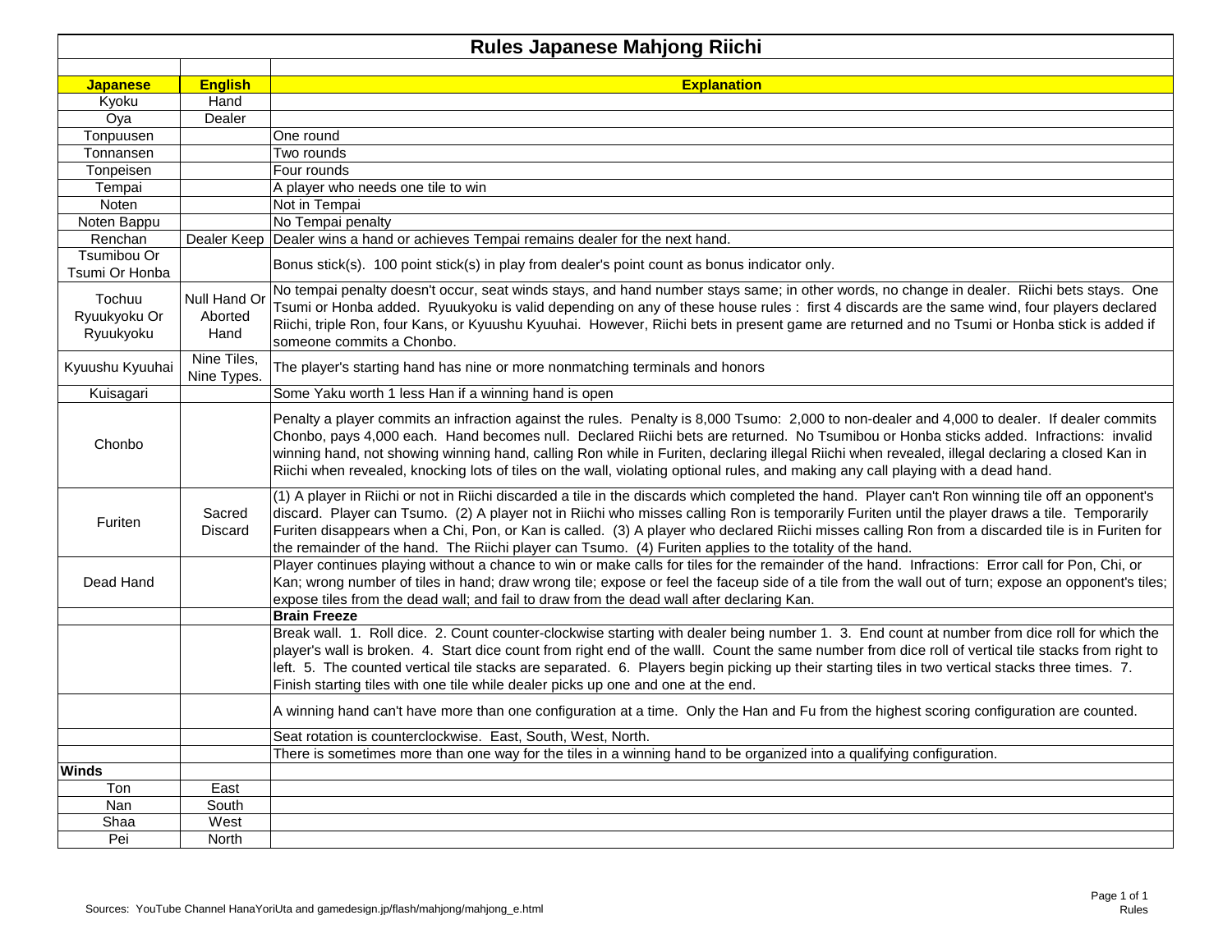|                                     |                                 | <b>Rules Japanese Mahjong Riichi</b>                                                                                                                                                                                                                                                                                                                                                                                                                                                                                                                                           |
|-------------------------------------|---------------------------------|--------------------------------------------------------------------------------------------------------------------------------------------------------------------------------------------------------------------------------------------------------------------------------------------------------------------------------------------------------------------------------------------------------------------------------------------------------------------------------------------------------------------------------------------------------------------------------|
|                                     |                                 |                                                                                                                                                                                                                                                                                                                                                                                                                                                                                                                                                                                |
| <b>Japanese</b>                     | <b>English</b>                  | <b>Explanation</b>                                                                                                                                                                                                                                                                                                                                                                                                                                                                                                                                                             |
| Kyoku                               | Hand                            |                                                                                                                                                                                                                                                                                                                                                                                                                                                                                                                                                                                |
| Oya                                 | Dealer                          |                                                                                                                                                                                                                                                                                                                                                                                                                                                                                                                                                                                |
| Tonpuusen                           |                                 | One round                                                                                                                                                                                                                                                                                                                                                                                                                                                                                                                                                                      |
| Tonnansen                           |                                 | Two rounds                                                                                                                                                                                                                                                                                                                                                                                                                                                                                                                                                                     |
| Tonpeisen                           |                                 | Four rounds                                                                                                                                                                                                                                                                                                                                                                                                                                                                                                                                                                    |
| Tempai                              |                                 | A player who needs one tile to win                                                                                                                                                                                                                                                                                                                                                                                                                                                                                                                                             |
| Noten                               |                                 | Not in Tempai                                                                                                                                                                                                                                                                                                                                                                                                                                                                                                                                                                  |
| Noten Bappu                         |                                 | No Tempai penalty                                                                                                                                                                                                                                                                                                                                                                                                                                                                                                                                                              |
| Renchan                             | Dealer Keep                     | Dealer wins a hand or achieves Tempai remains dealer for the next hand.                                                                                                                                                                                                                                                                                                                                                                                                                                                                                                        |
| Tsumibou Or<br>Tsumi Or Honba       |                                 | Bonus stick(s). 100 point stick(s) in play from dealer's point count as bonus indicator only.                                                                                                                                                                                                                                                                                                                                                                                                                                                                                  |
| Tochuu<br>Ryuukyoku Or<br>Ryuukyoku | Null Hand Or<br>Aborted<br>Hand | No tempai penalty doesn't occur, seat winds stays, and hand number stays same; in other words, no change in dealer. Riichi bets stays. One<br>Tsumi or Honba added. Ryuukyoku is valid depending on any of these house rules: first 4 discards are the same wind, four players declared<br>Riichi, triple Ron, four Kans, or Kyuushu Kyuuhai. However, Riichi bets in present game are returned and no Tsumi or Honba stick is added if<br>someone commits a Chonbo.                                                                                                           |
| Kyuushu Kyuuhai                     | Nine Tiles,<br>Nine Types.      | The player's starting hand has nine or more nonmatching terminals and honors                                                                                                                                                                                                                                                                                                                                                                                                                                                                                                   |
| Kuisagari                           |                                 | Some Yaku worth 1 less Han if a winning hand is open                                                                                                                                                                                                                                                                                                                                                                                                                                                                                                                           |
| Chonbo                              |                                 | Penalty a player commits an infraction against the rules. Penalty is 8,000 Tsumo: 2,000 to non-dealer and 4,000 to dealer. If dealer commits<br>Chonbo, pays 4,000 each. Hand becomes null. Declared Riichi bets are returned. No Tsumibou or Honba sticks added. Infractions: invalid<br>winning hand, not showing winning hand, calling Ron while in Furiten, declaring illegal Riichi when revealed, illegal declaring a closed Kan in<br>Riichi when revealed, knocking lots of tiles on the wall, violating optional rules, and making any call playing with a dead hand. |
| Furiten                             | Sacred<br>Discard               | (1) A player in Riichi or not in Riichi discarded a tile in the discards which completed the hand. Player can't Ron winning tile off an opponent's<br>discard. Player can Tsumo. (2) A player not in Riichi who misses calling Ron is temporarily Furiten until the player draws a tile. Temporarily<br>Furiten disappears when a Chi, Pon, or Kan is called. (3) A player who declared Riichi misses calling Ron from a discarded tile is in Furiten for<br>the remainder of the hand. The Riichi player can Tsumo. (4) Furiten applies to the totality of the hand.          |
| Dead Hand                           |                                 | Player continues playing without a chance to win or make calls for tiles for the remainder of the hand. Infractions: Error call for Pon, Chi, or<br>Kan; wrong number of tiles in hand; draw wrong tile; expose or feel the faceup side of a tile from the wall out of turn; expose an opponent's tiles;<br>expose tiles from the dead wall; and fail to draw from the dead wall after declaring Kan.                                                                                                                                                                          |
|                                     |                                 | <b>Brain Freeze</b>                                                                                                                                                                                                                                                                                                                                                                                                                                                                                                                                                            |
|                                     |                                 | Break wall. 1. Roll dice. 2. Count counter-clockwise starting with dealer being number 1. 3. End count at number from dice roll for which the<br>player's wall is broken. 4. Start dice count from right end of the walll. Count the same number from dice roll of vertical tile stacks from right to<br>left. 5. The counted vertical tile stacks are separated. 6. Players begin picking up their starting tiles in two vertical stacks three times. 7.<br>Finish starting tiles with one tile while dealer picks up one and one at the end.                                 |
|                                     |                                 | A winning hand can't have more than one configuration at a time. Only the Han and Fu from the highest scoring configuration are counted.                                                                                                                                                                                                                                                                                                                                                                                                                                       |
|                                     |                                 | Seat rotation is counterclockwise. East, South, West, North.                                                                                                                                                                                                                                                                                                                                                                                                                                                                                                                   |
|                                     |                                 | There is sometimes more than one way for the tiles in a winning hand to be organized into a qualifying configuration.                                                                                                                                                                                                                                                                                                                                                                                                                                                          |
| <b>Winds</b>                        |                                 |                                                                                                                                                                                                                                                                                                                                                                                                                                                                                                                                                                                |
| Ton                                 | East                            |                                                                                                                                                                                                                                                                                                                                                                                                                                                                                                                                                                                |
| Nan                                 | South                           |                                                                                                                                                                                                                                                                                                                                                                                                                                                                                                                                                                                |
| Shaa                                | West                            |                                                                                                                                                                                                                                                                                                                                                                                                                                                                                                                                                                                |
| Pei                                 | North                           |                                                                                                                                                                                                                                                                                                                                                                                                                                                                                                                                                                                |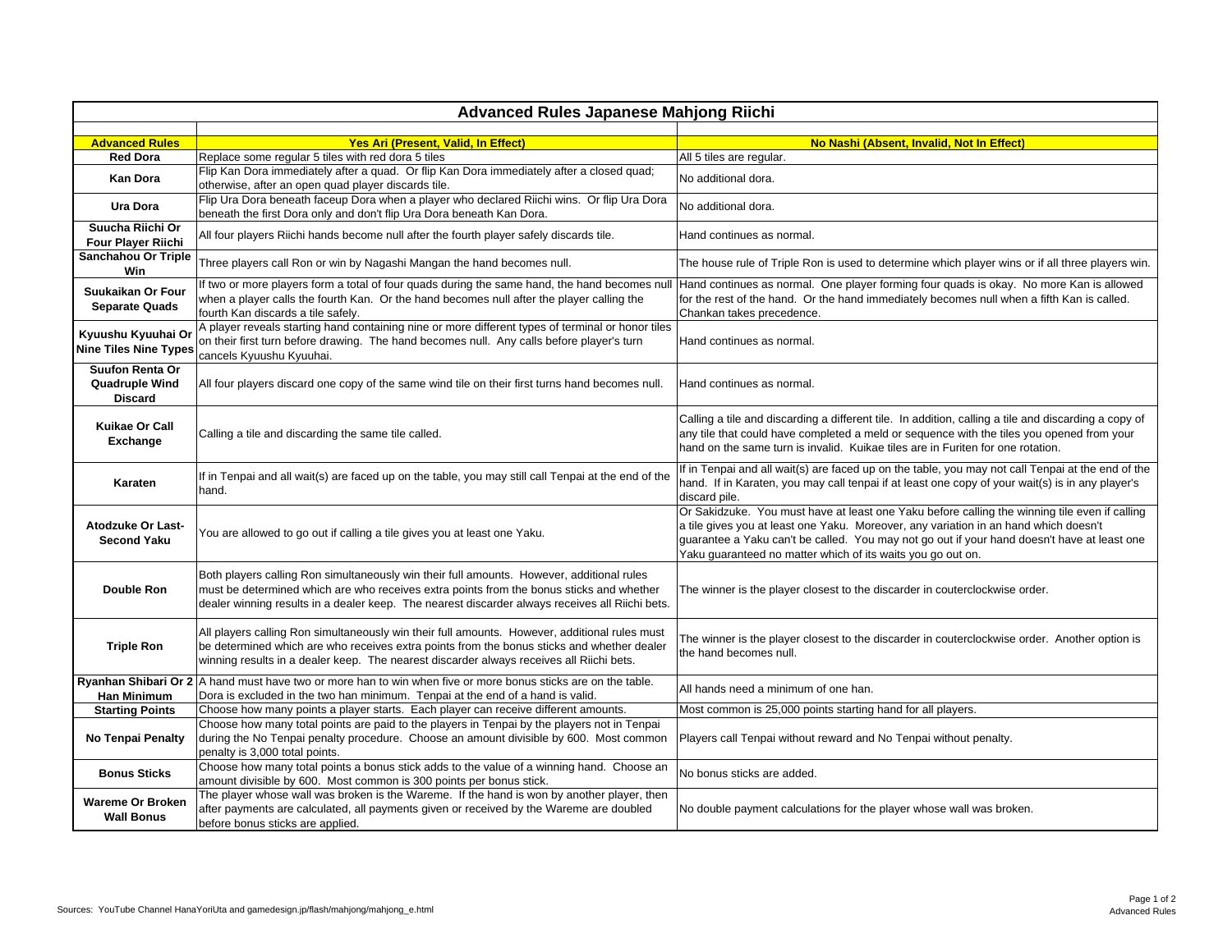|                                                            | <b>Advanced Rules Japanese Mahjong Riichi</b>                                                                                                                                                                                                                                            |                                                                                                                                                                                                                                                                                                                                                     |  |  |  |  |  |  |  |  |
|------------------------------------------------------------|------------------------------------------------------------------------------------------------------------------------------------------------------------------------------------------------------------------------------------------------------------------------------------------|-----------------------------------------------------------------------------------------------------------------------------------------------------------------------------------------------------------------------------------------------------------------------------------------------------------------------------------------------------|--|--|--|--|--|--|--|--|
|                                                            |                                                                                                                                                                                                                                                                                          |                                                                                                                                                                                                                                                                                                                                                     |  |  |  |  |  |  |  |  |
| <b>Advanced Rules</b>                                      | Yes Ari (Present, Valid, In Effect)                                                                                                                                                                                                                                                      | No Nashi (Absent, Invalid, Not In Effect)                                                                                                                                                                                                                                                                                                           |  |  |  |  |  |  |  |  |
| <b>Red Dora</b>                                            | Replace some regular 5 tiles with red dora 5 tiles<br>Flip Kan Dora immediately after a quad. Or flip Kan Dora immediately after a closed quad;                                                                                                                                          | All 5 tiles are regular.                                                                                                                                                                                                                                                                                                                            |  |  |  |  |  |  |  |  |
| <b>Kan Dora</b>                                            | otherwise, after an open quad player discards tile.                                                                                                                                                                                                                                      | No additional dora.                                                                                                                                                                                                                                                                                                                                 |  |  |  |  |  |  |  |  |
| Ura Dora                                                   | Flip Ura Dora beneath faceup Dora when a player who declared Riichi wins. Or flip Ura Dora<br>beneath the first Dora only and don't flip Ura Dora beneath Kan Dora.                                                                                                                      | No additional dora.                                                                                                                                                                                                                                                                                                                                 |  |  |  |  |  |  |  |  |
| Suucha Riichi Or<br><b>Four Player Riichi</b>              | All four players Riichi hands become null after the fourth player safely discards tile.                                                                                                                                                                                                  | Hand continues as normal.                                                                                                                                                                                                                                                                                                                           |  |  |  |  |  |  |  |  |
| Sanchahou Or Triple<br>Win                                 | Three players call Ron or win by Nagashi Mangan the hand becomes null.                                                                                                                                                                                                                   | The house rule of Triple Ron is used to determine which player wins or if all three players win.                                                                                                                                                                                                                                                    |  |  |  |  |  |  |  |  |
| Suukaikan Or Four<br><b>Separate Quads</b>                 | If two or more players form a total of four quads during the same hand, the hand becomes nul<br>when a player calls the fourth Kan. Or the hand becomes null after the player calling the<br>fourth Kan discards a tile safely.                                                          | Hand continues as normal. One player forming four quads is okay. No more Kan is allowed<br>for the rest of the hand. Or the hand immediately becomes null when a fifth Kan is called.<br>Chankan takes precedence.                                                                                                                                  |  |  |  |  |  |  |  |  |
| Kyuushu Kyuuhai Or<br><b>Nine Tiles Nine Types</b>         | A player reveals starting hand containing nine or more different types of terminal or honor tiles<br>on their first turn before drawing. The hand becomes null. Any calls before player's turn<br>cancels Kyuushu Kyuuhai.                                                               | Hand continues as normal.                                                                                                                                                                                                                                                                                                                           |  |  |  |  |  |  |  |  |
| <b>Suufon Renta Or</b><br>Quadruple Wind<br><b>Discard</b> | All four players discard one copy of the same wind tile on their first turns hand becomes null.                                                                                                                                                                                          | Hand continues as normal.                                                                                                                                                                                                                                                                                                                           |  |  |  |  |  |  |  |  |
| Kuikae Or Call<br>Exchange                                 | Calling a tile and discarding the same tile called.                                                                                                                                                                                                                                      | Calling a tile and discarding a different tile. In addition, calling a tile and discarding a copy of<br>any tile that could have completed a meld or sequence with the tiles you opened from your<br>hand on the same turn is invalid. Kuikae tiles are in Furiten for one rotation.                                                                |  |  |  |  |  |  |  |  |
| Karaten                                                    | If in Tenpai and all wait(s) are faced up on the table, you may still call Tenpai at the end of the<br>hand.                                                                                                                                                                             | If in Tenpai and all wait(s) are faced up on the table, you may not call Tenpai at the end of the<br>hand. If in Karaten, you may call tenpai if at least one copy of your wait(s) is in any player's<br>discard pile.                                                                                                                              |  |  |  |  |  |  |  |  |
| <b>Atodzuke Or Last-</b><br><b>Second Yaku</b>             | You are allowed to go out if calling a tile gives you at least one Yaku.                                                                                                                                                                                                                 | Or Sakidzuke. You must have at least one Yaku before calling the winning tile even if calling<br>a tile gives you at least one Yaku. Moreover, any variation in an hand which doesn't<br>guarantee a Yaku can't be called. You may not go out if your hand doesn't have at least one<br>Yaku guaranteed no matter which of its waits you go out on. |  |  |  |  |  |  |  |  |
| <b>Double Ron</b>                                          | Both players calling Ron simultaneously win their full amounts. However, additional rules<br>must be determined which are who receives extra points from the bonus sticks and whether<br>dealer winning results in a dealer keep. The nearest discarder always receives all Riichi bets. | The winner is the player closest to the discarder in couterclockwise order.                                                                                                                                                                                                                                                                         |  |  |  |  |  |  |  |  |
| <b>Triple Ron</b>                                          | All players calling Ron simultaneously win their full amounts. However, additional rules must<br>be determined which are who receives extra points from the bonus sticks and whether dealer<br>winning results in a dealer keep. The nearest discarder always receives all Riichi bets.  | The winner is the player closest to the discarder in couterclockwise order. Another option is<br>the hand becomes null.                                                                                                                                                                                                                             |  |  |  |  |  |  |  |  |
| Han Minimum                                                | Ryanhan Shibari Or $2 \nvert A$ hand must have two or more han to win when five or more bonus sticks are on the table.<br>Dora is excluded in the two han minimum. Tenpai at the end of a hand is valid.                                                                                 | All hands need a minimum of one han.                                                                                                                                                                                                                                                                                                                |  |  |  |  |  |  |  |  |
| <b>Starting Points</b>                                     | Choose how many points a player starts. Each player can receive different amounts.                                                                                                                                                                                                       | Most common is 25,000 points starting hand for all players.                                                                                                                                                                                                                                                                                         |  |  |  |  |  |  |  |  |
| <b>No Tenpai Penalty</b>                                   | Choose how many total points are paid to the players in Tenpai by the players not in Tenpai<br>during the No Tenpai penalty procedure. Choose an amount divisible by 600. Most common<br>penalty is 3,000 total points.                                                                  | Players call Tenpai without reward and No Tenpai without penalty.                                                                                                                                                                                                                                                                                   |  |  |  |  |  |  |  |  |
| <b>Bonus Sticks</b>                                        | Choose how many total points a bonus stick adds to the value of a winning hand. Choose an<br>amount divisible by 600. Most common is 300 points per bonus stick.                                                                                                                         | No bonus sticks are added.                                                                                                                                                                                                                                                                                                                          |  |  |  |  |  |  |  |  |
| <b>Wareme Or Broken</b><br><b>Wall Bonus</b>               | The player whose wall was broken is the Wareme. If the hand is won by another player, then<br>after payments are calculated, all payments given or received by the Wareme are doubled<br>before bonus sticks are applied.                                                                | No double payment calculations for the player whose wall was broken.                                                                                                                                                                                                                                                                                |  |  |  |  |  |  |  |  |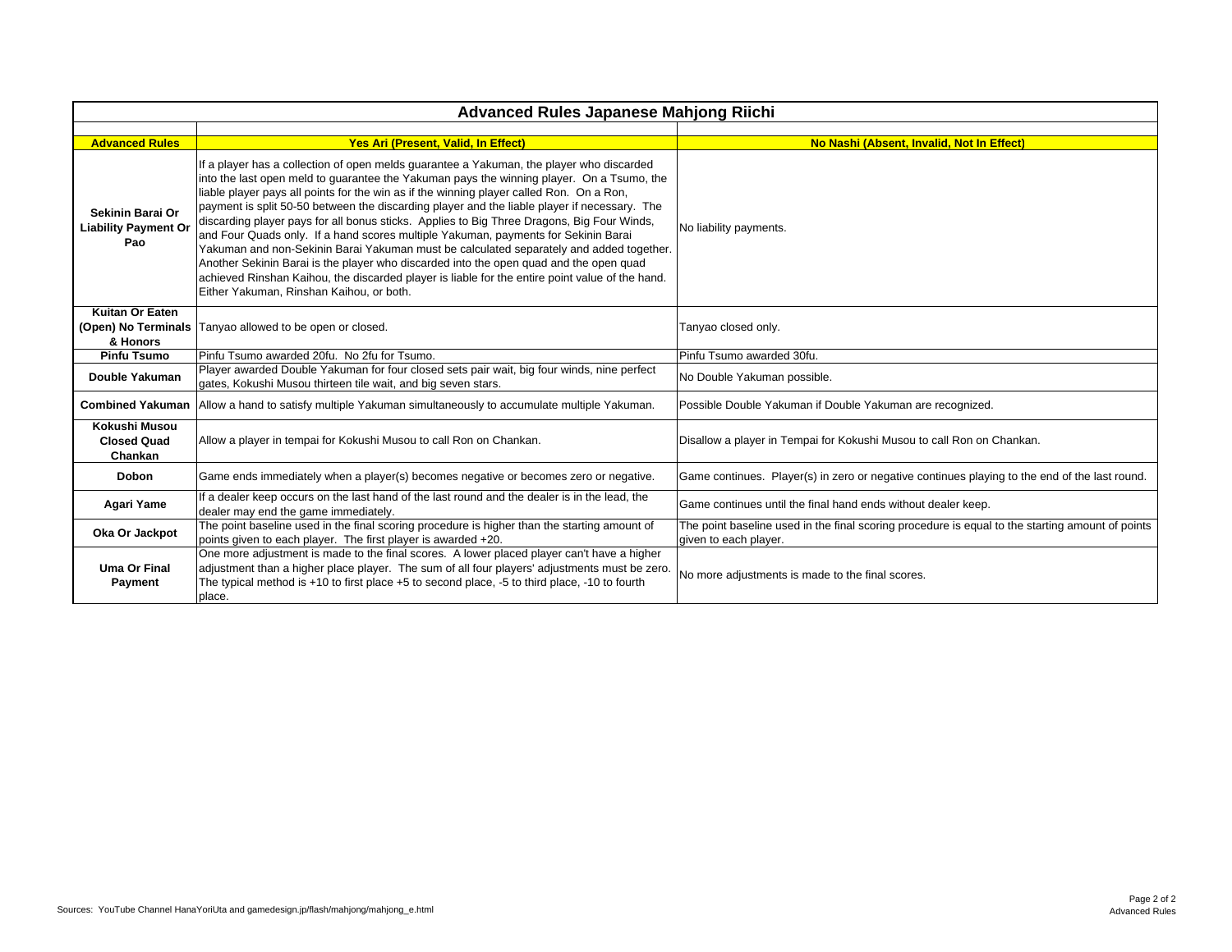| <b>Advanced Rules Japanese Mahjong Riichi</b>          |                                                                                                                                                                                                                                                                                                                                                                                                                                                                                                                                                                                                                                                                                                                                                                                                                                                                                                           |                                                                                                                           |  |  |  |  |  |  |  |
|--------------------------------------------------------|-----------------------------------------------------------------------------------------------------------------------------------------------------------------------------------------------------------------------------------------------------------------------------------------------------------------------------------------------------------------------------------------------------------------------------------------------------------------------------------------------------------------------------------------------------------------------------------------------------------------------------------------------------------------------------------------------------------------------------------------------------------------------------------------------------------------------------------------------------------------------------------------------------------|---------------------------------------------------------------------------------------------------------------------------|--|--|--|--|--|--|--|
|                                                        |                                                                                                                                                                                                                                                                                                                                                                                                                                                                                                                                                                                                                                                                                                                                                                                                                                                                                                           |                                                                                                                           |  |  |  |  |  |  |  |
| <b>Advanced Rules</b>                                  | Yes Ari (Present, Valid, In Effect)                                                                                                                                                                                                                                                                                                                                                                                                                                                                                                                                                                                                                                                                                                                                                                                                                                                                       | No Nashi (Absent, Invalid, Not In Effect)                                                                                 |  |  |  |  |  |  |  |
| Sekinin Barai Or<br><b>Liability Payment Or</b><br>Pao | If a player has a collection of open melds guarantee a Yakuman, the player who discarded<br>into the last open meld to guarantee the Yakuman pays the winning player. On a Tsumo, the<br>liable player pays all points for the win as if the winning player called Ron. On a Ron,<br>payment is split 50-50 between the discarding player and the liable player if necessary. The<br>discarding player pays for all bonus sticks. Applies to Big Three Dragons, Big Four Winds,<br>and Four Quads only. If a hand scores multiple Yakuman, payments for Sekinin Barai<br>Yakuman and non-Sekinin Barai Yakuman must be calculated separately and added together.<br>Another Sekinin Barai is the player who discarded into the open quad and the open quad<br>achieved Rinshan Kaihou, the discarded player is liable for the entire point value of the hand.<br>Either Yakuman, Rinshan Kaihou, or both. | No liability payments.                                                                                                    |  |  |  |  |  |  |  |
| Kuitan Or Eaten<br>& Honors                            | (Open) No Terminals   Tanyao allowed to be open or closed.                                                                                                                                                                                                                                                                                                                                                                                                                                                                                                                                                                                                                                                                                                                                                                                                                                                | Tanyao closed only.                                                                                                       |  |  |  |  |  |  |  |
| <b>Pinfu Tsumo</b>                                     | Pinfu Tsumo awarded 20fu. No 2fu for Tsumo.                                                                                                                                                                                                                                                                                                                                                                                                                                                                                                                                                                                                                                                                                                                                                                                                                                                               | Pinfu Tsumo awarded 30fu.                                                                                                 |  |  |  |  |  |  |  |
| Double Yakuman                                         | Player awarded Double Yakuman for four closed sets pair wait, big four winds, nine perfect<br>gates, Kokushi Musou thirteen tile wait, and big seven stars.                                                                                                                                                                                                                                                                                                                                                                                                                                                                                                                                                                                                                                                                                                                                               | No Double Yakuman possible.                                                                                               |  |  |  |  |  |  |  |
| <b>Combined Yakuman</b>                                | Allow a hand to satisfy multiple Yakuman simultaneously to accumulate multiple Yakuman.                                                                                                                                                                                                                                                                                                                                                                                                                                                                                                                                                                                                                                                                                                                                                                                                                   | Possible Double Yakuman if Double Yakuman are recognized.                                                                 |  |  |  |  |  |  |  |
| Kokushi Musou<br><b>Closed Quad</b><br>Chankan         | Allow a player in tempai for Kokushi Musou to call Ron on Chankan.                                                                                                                                                                                                                                                                                                                                                                                                                                                                                                                                                                                                                                                                                                                                                                                                                                        | Disallow a player in Tempai for Kokushi Musou to call Ron on Chankan.                                                     |  |  |  |  |  |  |  |
| Dobon                                                  | Game ends immediately when a player(s) becomes negative or becomes zero or negative.                                                                                                                                                                                                                                                                                                                                                                                                                                                                                                                                                                                                                                                                                                                                                                                                                      | Game continues. Player(s) in zero or negative continues playing to the end of the last round.                             |  |  |  |  |  |  |  |
| Agari Yame                                             | If a dealer keep occurs on the last hand of the last round and the dealer is in the lead, the<br>dealer may end the game immediately.                                                                                                                                                                                                                                                                                                                                                                                                                                                                                                                                                                                                                                                                                                                                                                     | Game continues until the final hand ends without dealer keep.                                                             |  |  |  |  |  |  |  |
| Oka Or Jackpot                                         | The point baseline used in the final scoring procedure is higher than the starting amount of<br>points given to each player. The first player is awarded +20.                                                                                                                                                                                                                                                                                                                                                                                                                                                                                                                                                                                                                                                                                                                                             | The point baseline used in the final scoring procedure is equal to the starting amount of points<br>given to each player. |  |  |  |  |  |  |  |
| <b>Uma Or Final</b><br>Payment                         | One more adjustment is made to the final scores. A lower placed player can't have a higher<br>adjustment than a higher place player. The sum of all four players' adjustments must be zero.<br>The typical method is +10 to first place +5 to second place, -5 to third place, -10 to fourth<br>place.                                                                                                                                                                                                                                                                                                                                                                                                                                                                                                                                                                                                    | No more adjustments is made to the final scores.                                                                          |  |  |  |  |  |  |  |